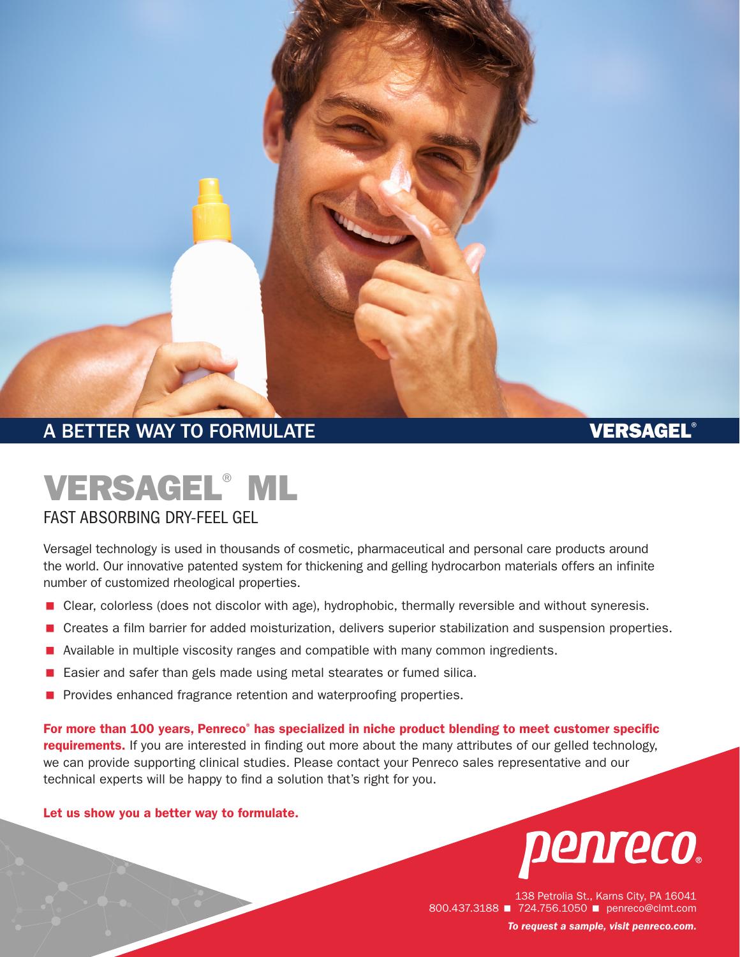

# VERSAGEL® ML

#### FAST ABSORBING DRY-FEEL GEL

Versagel technology is used in thousands of cosmetic, pharmaceutical and personal care products around the world. Our innovative patented system for thickening and gelling hydrocarbon materials offers an infinite number of customized rheological properties.

- **E** Clear, colorless (does not discolor with age), hydrophobic, thermally reversible and without syneresis.
- < Creates a film barrier for added moisturization, delivers superior stabilization and suspension properties.
- Available in multiple viscosity ranges and compatible with many common ingredients.
- < Easier and safer than gels made using metal stearates or fumed silica.
- **Provides enhanced fragrance retention and waterproofing properties.**

For more than 100 years, Penreco<sup>®</sup> has specialized in niche product blending to meet customer specific requirements. If you are interested in finding out more about the many attributes of our gelled technology, we can provide supporting clinical studies. Please contact your Penreco sales representative and our technical experts will be happy to find a solution that's right for you.

#### Let us show you a better way to formulate.



138 Petrolia St., Karns City, PA 16041 800.437.3188 **1 724.756.1050** penreco@clmt.com *To request a sample, visit [penreco.com](http://penreco.com/).*